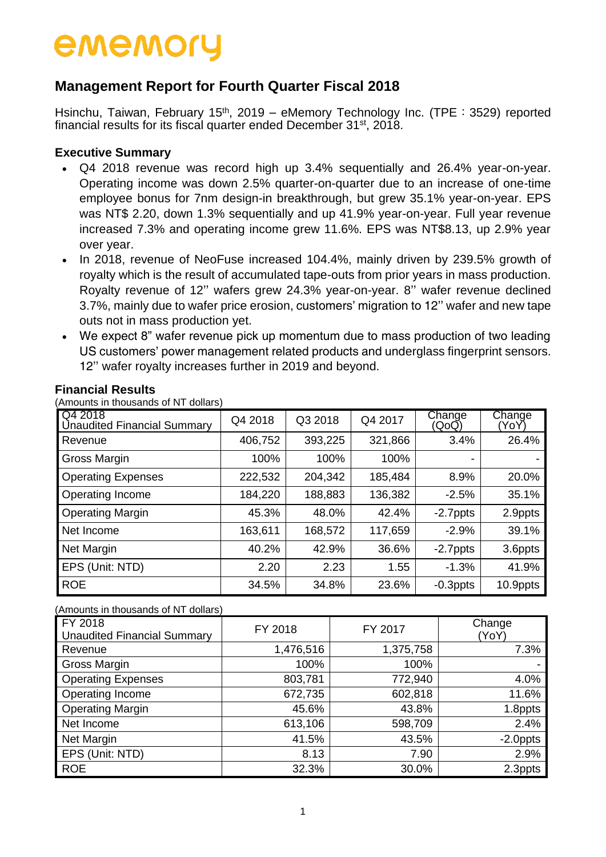# **Management Report for Fourth Quarter Fiscal 2018**

Hsinchu, Taiwan, February 15<sup>th</sup>, 2019 – eMemory Technology Inc. (TPE: 3529) reported financial results for its fiscal quarter ended December 31st, 2018.

#### **Executive Summary**

- Q4 2018 revenue was record high up 3.4% sequentially and 26.4% year-on-year. Operating income was down 2.5% quarter-on-quarter due to an increase of one-time employee bonus for 7nm design-in breakthrough, but grew 35.1% year-on-year. EPS was NT\$ 2.20, down 1.3% sequentially and up 41.9% year-on-year. Full year revenue increased 7.3% and operating income grew 11.6%. EPS was NT\$8.13, up 2.9% year over year.
- In 2018, revenue of NeoFuse increased 104.4%, mainly driven by 239.5% growth of royalty which is the result of accumulated tape-outs from prior years in mass production. Royalty revenue of 12'' wafers grew 24.3% year-on-year. 8'' wafer revenue declined 3.7%, mainly due to wafer price erosion, customers' migration to 12'' wafer and new tape outs not in mass production yet.
- We expect 8" wafer revenue pick up momentum due to mass production of two leading US customers' power management related products and underglass fingerprint sensors. 12'' wafer royalty increases further in 2019 and beyond.

| $\alpha$ , and an anough the contract of $\alpha$ |         |         |         |                 |               |
|---------------------------------------------------|---------|---------|---------|-----------------|---------------|
| Q4 2018<br><b>Unaudited Financial Summary</b>     | Q4 2018 | Q3 2018 | Q4 2017 | Change<br>(QoQ) | Change<br>YoY |
| Revenue                                           | 406,752 | 393,225 | 321,866 | 3.4%            | 26.4%         |
| Gross Margin                                      | 100%    | 100%    | 100%    | -               |               |
| <b>Operating Expenses</b>                         | 222,532 | 204,342 | 185,484 | 8.9%            | 20.0%         |
| Operating Income                                  | 184,220 | 188,883 | 136,382 | $-2.5%$         | 35.1%         |
| <b>Operating Margin</b>                           | 45.3%   | 48.0%   | 42.4%   | $-2.7$ ppts     | 2.9ppts       |
| Net Income                                        | 163,611 | 168,572 | 117,659 | $-2.9%$         | 39.1%         |
| <b>Net Margin</b>                                 | 40.2%   | 42.9%   | 36.6%   | $-2.7$ ppts     | 3.6ppts       |
| EPS (Unit: NTD)                                   | 2.20    | 2.23    | 1.55    | $-1.3%$         | 41.9%         |
| <b>ROE</b>                                        | 34.5%   | 34.8%   | 23.6%   | $-0.3$ ppts     | 10.9ppts      |

#### **Financial Results**

(Amounts in thousands of NT dollars)

#### (Amounts in thousands of NT dollars)

| FY 2018<br><b>Unaudited Financial Summary</b> | FY 2018   | FY 2017   | Change<br>(YoY) |
|-----------------------------------------------|-----------|-----------|-----------------|
| Revenue                                       | 1,476,516 | 1,375,758 | 7.3%            |
| Gross Margin                                  | 100%      | 100%      |                 |
| <b>Operating Expenses</b>                     | 803,781   | 772,940   | 4.0%            |
| Operating Income                              | 672,735   | 602,818   | 11.6%           |
| <b>Operating Margin</b>                       | 45.6%     | 43.8%     | 1.8ppts         |
| Net Income                                    | 613,106   | 598,709   | 2.4%            |
| Net Margin                                    | 41.5%     | 43.5%     | -2.0ppts        |
| EPS (Unit: NTD)                               | 8.13      | 7.90      | 2.9%            |
| <b>ROE</b>                                    | 32.3%     | 30.0%     | 2.3ppts         |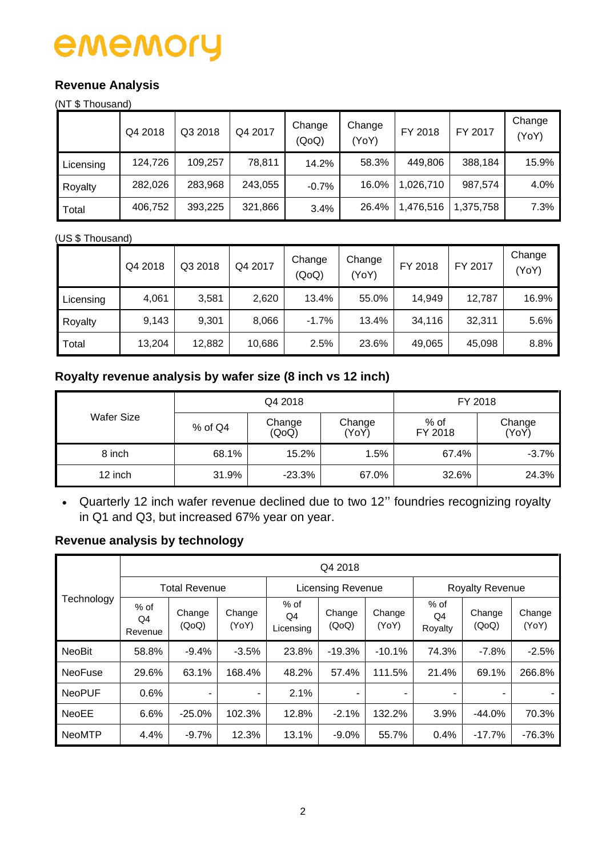## **Revenue Analysis**

(NT \$ Thousand)

|           | Q4 2018 | Q3 2018 | Q4 2017 | Change<br>(QoQ) | Change<br>(YoY) | FY 2018   | FY 2017   | Change<br>(YoY) |
|-----------|---------|---------|---------|-----------------|-----------------|-----------|-----------|-----------------|
| Licensing | 124,726 | 109,257 | 78,811  | 14.2%           | 58.3%           | 449,806   | 388,184   | 15.9%           |
| Royalty   | 282,026 | 283,968 | 243,055 | $-0.7%$         | 16.0%           | 1,026,710 | 987.574   | 4.0%            |
| Total     | 406,752 | 393,225 | 321,866 | 3.4%            | 26.4%           | 1,476,516 | 1,375,758 | 7.3%            |

#### (US \$ Thousand)

|           | Q4 2018 | Q3 2018 | Q4 2017 | Change<br>(QoQ) | Change<br>(YoY) | FY 2018 | FY 2017 | Change<br>(YoY) |
|-----------|---------|---------|---------|-----------------|-----------------|---------|---------|-----------------|
| Licensing | 4,061   | 3,581   | 2,620   | 13.4%           | 55.0%           | 14,949  | 12,787  | 16.9%           |
| Royalty   | 9,143   | 9,301   | 8,066   | $-1.7%$         | 13.4%           | 34,116  | 32,311  | 5.6%            |
| Total     | 13,204  | 12,882  | 10,686  | 2.5%            | 23.6%           | 49,065  | 45,098  | 8.8%            |

## **Royalty revenue analysis by wafer size (8 inch vs 12 inch)**

|            |           | Q4 2018         | FY 2018         |                 |                 |
|------------|-----------|-----------------|-----------------|-----------------|-----------------|
| Wafer Size | $%$ of Q4 | Change<br>(QoQ) | Change<br>(YoY) | % of<br>FY 2018 | Change<br>(YoY) |
| 8 inch     | 68.1%     | 15.2%           | 1.5%            | 67.4%           | $-3.7%$         |
| 12 inch    | 31.9%     | $-23.3%$        | 67.0%           | 32.6%           | 24.3%           |

 Quarterly 12 inch wafer revenue declined due to two 12'' foundries recognizing royalty in Q1 and Q3, but increased 67% year on year.

# **Revenue analysis by technology**

|                |                         | Q4 2018         |                 |                           |                 |                 |                         |                 |                 |  |  |
|----------------|-------------------------|-----------------|-----------------|---------------------------|-----------------|-----------------|-------------------------|-----------------|-----------------|--|--|
|                | <b>Total Revenue</b>    |                 |                 | <b>Licensing Revenue</b>  |                 |                 | <b>Royalty Revenue</b>  |                 |                 |  |  |
| Technology     | $%$ of<br>Q4<br>Revenue | Change<br>(QoQ) | Change<br>(YoY) | $%$ of<br>Q4<br>Licensing | Change<br>(QoQ) | Change<br>(YoY) | $%$ of<br>Q4<br>Royalty | Change<br>(QoQ) | Change<br>(YoY) |  |  |
| <b>NeoBit</b>  | 58.8%                   | $-9.4%$         | $-3.5%$         | 23.8%                     | $-19.3%$        | $-10.1%$        | 74.3%                   | $-7.8%$         | $-2.5%$         |  |  |
| <b>NeoFuse</b> | 29.6%                   | 63.1%           | 168.4%          | 48.2%                     | 57.4%           | 111.5%          | 21.4%                   | 69.1%           | 266.8%          |  |  |
| <b>NeoPUF</b>  | 0.6%                    | -               | -               | 2.1%                      | ۰               |                 | ۰                       |                 |                 |  |  |
| <b>NeoEE</b>   | 6.6%                    | $-25.0%$        | 102.3%          | 12.8%                     | $-2.1%$         | 132.2%          | 3.9%                    | $-44.0%$        | 70.3%           |  |  |
| <b>NeoMTP</b>  | 4.4%                    | $-9.7%$         | 12.3%           | 13.1%                     | $-9.0\%$        | 55.7%           | 0.4%                    | $-17.7%$        | $-76.3%$        |  |  |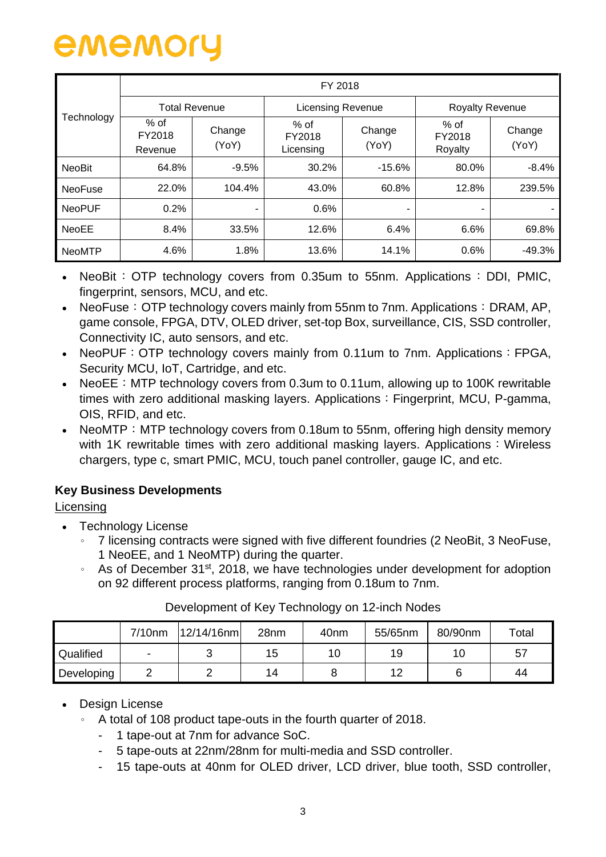|                | FY 2018                     |                      |                             |                 |                             |                 |  |  |  |  |
|----------------|-----------------------------|----------------------|-----------------------------|-----------------|-----------------------------|-----------------|--|--|--|--|
|                |                             | <b>Total Revenue</b> | Licensing Revenue           |                 | <b>Royalty Revenue</b>      |                 |  |  |  |  |
| Technology     | $%$ of<br>FY2018<br>Revenue | Change<br>(YoY)      | % of<br>FY2018<br>Licensing | Change<br>(YoY) | $%$ of<br>FY2018<br>Royalty | Change<br>(YoY) |  |  |  |  |
| <b>NeoBit</b>  | 64.8%                       | $-9.5%$              | 30.2%                       | $-15.6%$        | 80.0%                       | $-8.4%$         |  |  |  |  |
| <b>NeoFuse</b> | 22.0%                       | 104.4%               | 43.0%                       | 60.8%           | 12.8%                       | 239.5%          |  |  |  |  |
| <b>NeoPUF</b>  | 0.2%                        |                      | 0.6%                        |                 | ۰                           |                 |  |  |  |  |
| <b>NeoEE</b>   | 8.4%                        | 33.5%                | 12.6%                       | 6.4%            | 6.6%                        | 69.8%           |  |  |  |  |
| <b>NeoMTP</b>  | 4.6%                        | 1.8%                 | 13.6%                       | 14.1%           | 0.6%                        | $-49.3%$        |  |  |  |  |

- NeoBit:  $\overline{OP}$  technology covers from 0.35um to 55nm. Applications: DDI, PMIC, fingerprint, sensors, MCU, and etc.
- NeoFuse: OTP technology covers mainly from 55nm to 7nm. Applications: DRAM, AP, game console, FPGA, DTV, OLED driver, set-top Box, surveillance, CIS, SSD controller, Connectivity IC, auto sensors, and etc.
- NeoPUF: OTP technology covers mainly from 0.11um to 7nm. Applications: FPGA, Security MCU, IoT, Cartridge, and etc.
- NeoEE: MTP technology covers from 0.3um to 0.11um, allowing up to 100K rewritable times with zero additional masking layers. Applications: Fingerprint, MCU, P-gamma, OIS, RFID, and etc.
- NeoMTP: MTP technology covers from 0.18um to 55nm, offering high density memory with 1K rewritable times with zero additional masking layers. Applications: Wireless chargers, type c, smart PMIC, MCU, touch panel controller, gauge IC, and etc.

## **Key Business Developments**

### **Licensing**

- Technology License
	- 。 7 licensing contracts were signed with five different foundries (2 NeoBit, 3 NeoFuse, 1 NeoEE, and 1 NeoMTP) during the quarter.
	- As of December 31<sup>st</sup>, 2018, we have technologies under development for adoption on 92 different process platforms, ranging from 0.18um to 7nm.

|            | $7/10$ nm                | 12/14/16nm | 28nm | 40 <sub>nm</sub> | 55/65nm | 80/90nm        | $\tau$ otal |
|------------|--------------------------|------------|------|------------------|---------|----------------|-------------|
| Qualified  | $\overline{\phantom{a}}$ | ີ          | 15   | 10               | 19      | 1 <sup>c</sup> | 57          |
| Developing |                          |            | 14   |                  | 12      |                | 44          |

### Development of Key Technology on 12-inch Nodes

### • Design License

- 。 A total of 108 product tape-outs in the fourth quarter of 2018.
	- 1 tape-out at 7nm for advance SoC.
	- 5 tape-outs at 22nm/28nm for multi-media and SSD controller.
	- 15 tape-outs at 40nm for OLED driver, LCD driver, blue tooth, SSD controller,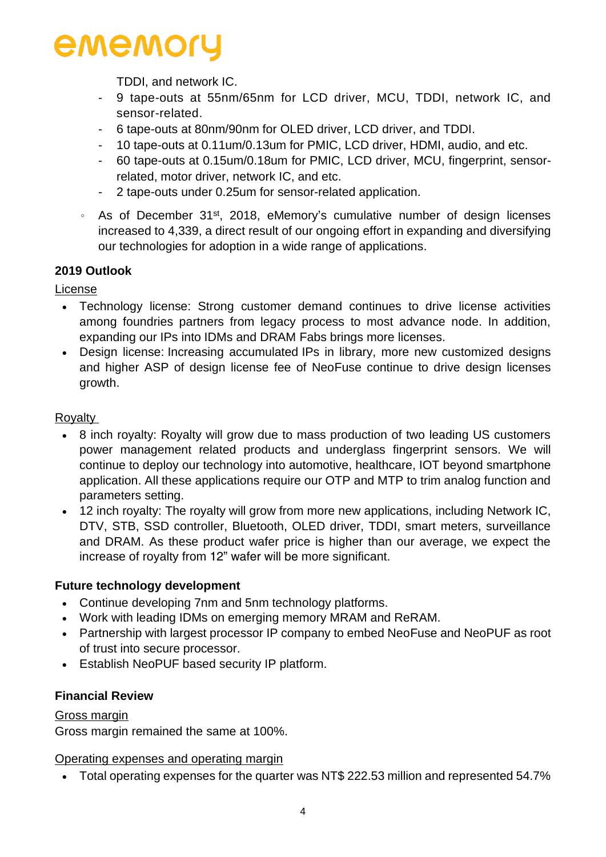TDDI, and network IC.

- 9 tape-outs at 55nm/65nm for LCD driver, MCU, TDDI, network IC, and sensor-related.
- 6 tape-outs at 80nm/90nm for OLED driver, LCD driver, and TDDI.
- 10 tape-outs at 0.11um/0.13um for PMIC, LCD driver, HDMI, audio, and etc.
- 60 tape-outs at 0.15um/0.18um for PMIC, LCD driver, MCU, fingerprint, sensorrelated, motor driver, network IC, and etc.
- 2 tape-outs under 0.25um for sensor-related application.
- 。 As of December 31st, 2018, eMemory's cumulative number of design licenses increased to 4,339, a direct result of our ongoing effort in expanding and diversifying our technologies for adoption in a wide range of applications.

#### **2019 Outlook**

License

- Technology license: Strong customer demand continues to drive license activities among foundries partners from legacy process to most advance node. In addition, expanding our IPs into IDMs and DRAM Fabs brings more licenses.
- Design license: Increasing accumulated IPs in library, more new customized designs and higher ASP of design license fee of NeoFuse continue to drive design licenses growth.

#### Royalty

- 8 inch royalty: Royalty will grow due to mass production of two leading US customers power management related products and underglass fingerprint sensors. We will continue to deploy our technology into automotive, healthcare, IOT beyond smartphone application. All these applications require our OTP and MTP to trim analog function and parameters setting.
- 12 inch royalty: The royalty will grow from more new applications, including Network IC, DTV, STB, SSD controller, Bluetooth, OLED driver, TDDI, smart meters, surveillance and DRAM. As these product wafer price is higher than our average, we expect the increase of royalty from 12" wafer will be more significant.

#### **Future technology development**

- Continue developing 7nm and 5nm technology platforms.
- Work with leading IDMs on emerging memory MRAM and ReRAM.
- Partnership with largest processor IP company to embed NeoFuse and NeoPUF as root of trust into secure processor.
- Establish NeoPUF based security IP platform.

#### **Financial Review**

#### Gross margin

Gross margin remained the same at 100%.

Operating expenses and operating margin

Total operating expenses for the quarter was NT\$ 222.53 million and represented 54.7%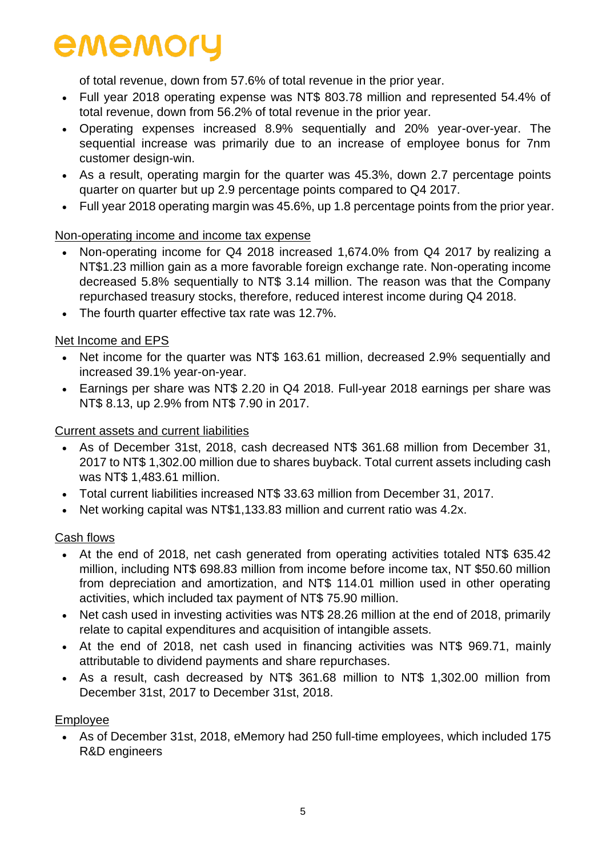of total revenue, down from 57.6% of total revenue in the prior year.

- Full year 2018 operating expense was NT\$ 803.78 million and represented 54.4% of total revenue, down from 56.2% of total revenue in the prior year.
- Operating expenses increased 8.9% sequentially and 20% year-over-year. The sequential increase was primarily due to an increase of employee bonus for 7nm customer design-win.
- As a result, operating margin for the quarter was 45.3%, down 2.7 percentage points quarter on quarter but up 2.9 percentage points compared to Q4 2017.
- Full year 2018 operating margin was 45.6%, up 1.8 percentage points from the prior year.

#### Non-operating income and income tax expense

- Non-operating income for Q4 2018 increased 1,674.0% from Q4 2017 by realizing a NT\$1.23 million gain as a more favorable foreign exchange rate. Non-operating income decreased 5.8% sequentially to NT\$ 3.14 million. The reason was that the Company repurchased treasury stocks, therefore, reduced interest income during Q4 2018.
- The fourth quarter effective tax rate was 12.7%.

#### Net Income and EPS

- Net income for the quarter was NT\$ 163.61 million, decreased 2.9% sequentially and increased 39.1% year-on-year.
- Earnings per share was NT\$ 2.20 in Q4 2018. Full-year 2018 earnings per share was NT\$ 8.13, up 2.9% from NT\$ 7.90 in 2017.

#### Current assets and current liabilities

- As of December 31st, 2018, cash decreased NT\$ 361.68 million from December 31, 2017 to NT\$ 1,302.00 million due to shares buyback. Total current assets including cash was NT\$ 1,483.61 million.
- Total current liabilities increased NT\$ 33.63 million from December 31, 2017.
- Net working capital was NT\$1,133.83 million and current ratio was 4.2x.

#### Cash flows

- At the end of 2018, net cash generated from operating activities totaled NT\$ 635.42 million, including NT\$ 698.83 million from income before income tax, NT \$50.60 million from depreciation and amortization, and NT\$ 114.01 million used in other operating activities, which included tax payment of NT\$ 75.90 million.
- Net cash used in investing activities was NT\$ 28.26 million at the end of 2018, primarily relate to capital expenditures and acquisition of intangible assets.
- At the end of 2018, net cash used in financing activities was NT\$ 969.71, mainly attributable to dividend payments and share repurchases.
- As a result, cash decreased by NT\$ 361.68 million to NT\$ 1,302.00 million from December 31st, 2017 to December 31st, 2018.

#### Employee

 As of December 31st, 2018, eMemory had 250 full-time employees, which included 175 R&D engineers